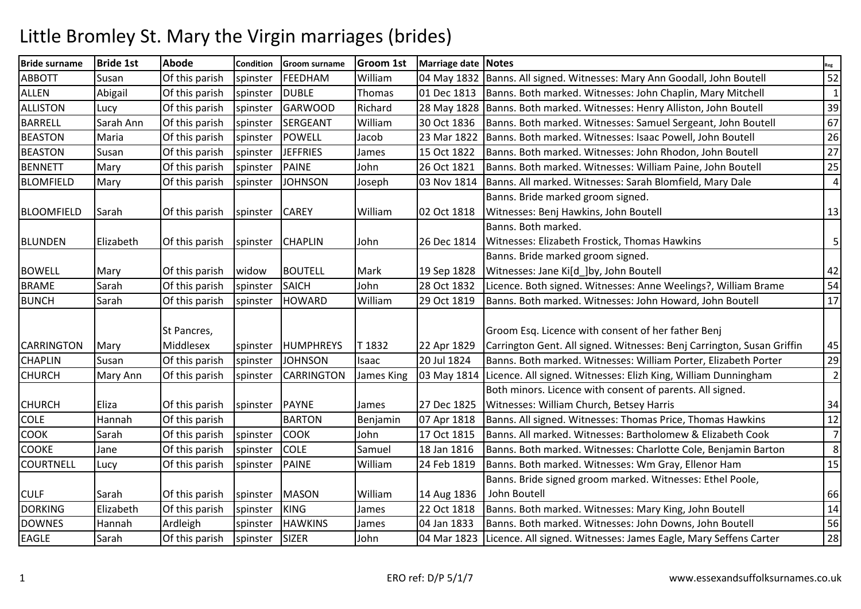## Little Bromley St. Mary the Virgin marriages (brides)

| <b>Bride surname</b> | <b>Bride 1st</b> | <b>Abode</b>   | <b>Condition</b> | Groom surname     | <b>Groom 1st</b> | Marriage date Notes |                                                                              | Reg            |
|----------------------|------------------|----------------|------------------|-------------------|------------------|---------------------|------------------------------------------------------------------------------|----------------|
| <b>ABBOTT</b>        | Susan            | Of this parish | spinster         | FEEDHAM           | William          | 04 May 1832         | Banns. All signed. Witnesses: Mary Ann Goodall, John Boutell                 | 52             |
| ALLEN                | Abigail          | Of this parish | spinster         | <b>DUBLE</b>      | Thomas           | 01 Dec 1813         | Banns. Both marked. Witnesses: John Chaplin, Mary Mitchell                   | $\mathbf{1}$   |
| <b>ALLISTON</b>      | Lucy             | Of this parish | spinster         | GARWOOD           | Richard          | 28 May 1828         | Banns. Both marked. Witnesses: Henry Alliston, John Boutell                  | 39             |
| <b>BARRELL</b>       | Sarah Ann        | Of this parish | spinster         | <b>SERGEANT</b>   | William          | 30 Oct 1836         | Banns. Both marked. Witnesses: Samuel Sergeant, John Boutell                 | 67             |
| <b>BEASTON</b>       | Maria            | Of this parish | spinster         | POWELL            | Jacob            | 23 Mar 1822         | Banns. Both marked. Witnesses: Isaac Powell, John Boutell                    | 26             |
| <b>BEASTON</b>       | Susan            | Of this parish | spinster         | <b>JEFFRIES</b>   | James            | 15 Oct 1822         | Banns. Both marked. Witnesses: John Rhodon, John Boutell                     | 27             |
| <b>BENNETT</b>       | Mary             | Of this parish | spinster         | PAINE             | John             | 26 Oct 1821         | Banns. Both marked. Witnesses: William Paine, John Boutell                   | 25             |
| <b>BLOMFIELD</b>     | Mary             | Of this parish | spinster         | <b>JOHNSON</b>    | Joseph           | 03 Nov 1814         | Banns. All marked. Witnesses: Sarah Blomfield, Mary Dale                     | $\overline{4}$ |
|                      |                  |                |                  |                   |                  |                     | Banns. Bride marked groom signed.                                            |                |
| <b>BLOOMFIELD</b>    | Sarah            | Of this parish | spinster         | <b>CAREY</b>      | William          | 02 Oct 1818         | Witnesses: Benj Hawkins, John Boutell                                        | 13             |
|                      |                  |                |                  |                   |                  |                     | Banns. Both marked.                                                          |                |
| <b>BLUNDEN</b>       | Elizabeth        | Of this parish | spinster         | <b>CHAPLIN</b>    | John             | 26 Dec 1814         | Witnesses: Elizabeth Frostick, Thomas Hawkins                                | 5              |
|                      |                  |                |                  |                   |                  |                     | Banns. Bride marked groom signed.                                            |                |
| <b>BOWELL</b>        | Mary             | Of this parish | widow            | <b>BOUTELL</b>    | Mark             | 19 Sep 1828         | Witnesses: Jane Ki[d_]by, John Boutell                                       | 42             |
| <b>BRAME</b>         | Sarah            | Of this parish | spinster         | SAICH             | John             | 28 Oct 1832         | Licence. Both signed. Witnesses: Anne Weelings?, William Brame               | 54             |
| <b>BUNCH</b>         | Sarah            | Of this parish | spinster         | <b>HOWARD</b>     | William          | 29 Oct 1819         | Banns. Both marked. Witnesses: John Howard, John Boutell                     | 17             |
|                      |                  |                |                  |                   |                  |                     |                                                                              |                |
|                      |                  | St Pancres,    |                  |                   |                  |                     | Groom Esq. Licence with consent of her father Benj                           |                |
| <b>CARRINGTON</b>    | Mary             | Middlesex      | spinster         | <b>HUMPHREYS</b>  | T 1832           | 22 Apr 1829         | Carrington Gent. All signed. Witnesses: Benj Carrington, Susan Griffin       | 45             |
| <b>CHAPLIN</b>       | Susan            | Of this parish | spinster         | <b>JOHNSON</b>    | Isaac            | 20 Jul 1824         | Banns. Both marked. Witnesses: William Porter, Elizabeth Porter              | 29             |
| <b>CHURCH</b>        | Mary Ann         | Of this parish | spinster         | <b>CARRINGTON</b> | James King       | 03 May 1814         | Licence. All signed. Witnesses: Elizh King, William Dunningham               | $\overline{2}$ |
|                      |                  |                |                  |                   |                  |                     | Both minors. Licence with consent of parents. All signed.                    |                |
| <b>CHURCH</b>        | Eliza            | Of this parish | spinster         | PAYNE             | James            | 27 Dec 1825         | Witnesses: William Church, Betsey Harris                                     | 34             |
| <b>COLE</b>          | Hannah           | Of this parish |                  | <b>BARTON</b>     | Benjamin         | 07 Apr 1818         | Banns. All signed. Witnesses: Thomas Price, Thomas Hawkins                   | 12             |
| <b>COOK</b>          | Sarah            | Of this parish | spinster         | <b>COOK</b>       | John             | 17 Oct 1815         | Banns. All marked. Witnesses: Bartholomew & Elizabeth Cook                   | $\overline{7}$ |
| <b>COOKE</b>         | Jane             | Of this parish | spinster         | <b>COLE</b>       | Samuel           | 18 Jan 1816         | Banns. Both marked. Witnesses: Charlotte Cole, Benjamin Barton               | 8              |
| <b>COURTNELL</b>     | Lucy             | Of this parish | spinster         | PAINE             | William          | 24 Feb 1819         | Banns. Both marked. Witnesses: Wm Gray, Ellenor Ham                          | 15             |
|                      |                  |                |                  |                   |                  |                     | Banns. Bride signed groom marked. Witnesses: Ethel Poole,                    |                |
| <b>CULF</b>          | Sarah            | Of this parish | spinster         | MASON             | William          | 14 Aug 1836         | John Boutell                                                                 | 66             |
| <b>DORKING</b>       | Elizabeth        | Of this parish | spinster         | KING              | James            | 22 Oct 1818         | Banns. Both marked. Witnesses: Mary King, John Boutell                       | 14             |
| <b>DOWNES</b>        | Hannah           | Ardleigh       | spinster         | <b>HAWKINS</b>    | James            | 04 Jan 1833         | Banns. Both marked. Witnesses: John Downs, John Boutell                      | 56             |
| <b>EAGLE</b>         | Sarah            | Of this parish | spinster         | SIZER             | John             |                     | 04 Mar 1823 Licence. All signed. Witnesses: James Eagle, Mary Seffens Carter | 28             |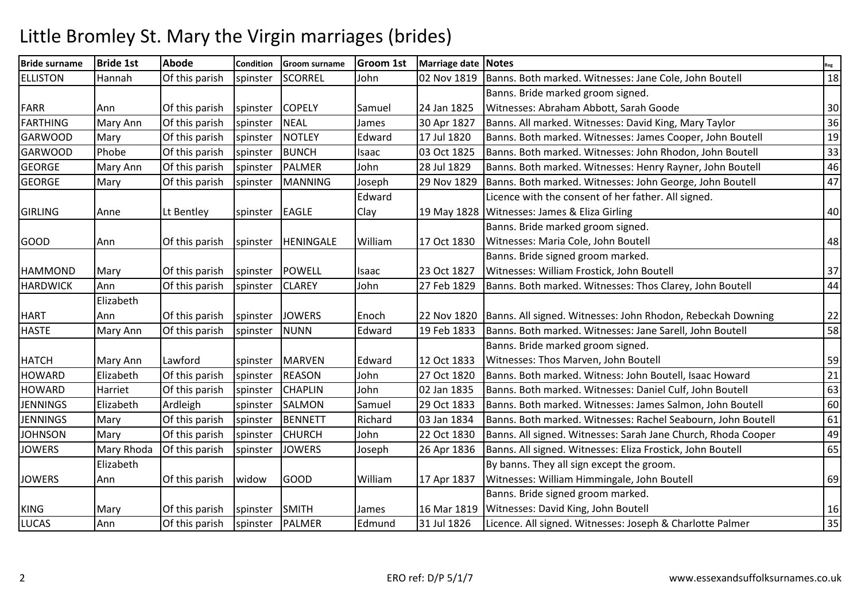## Little Bromley St. Mary the Virgin marriages (brides)

| <b>Bride surname</b> | <b>Bride 1st</b> | <b>Abode</b>   | Condition | <b>Groom surname</b> | <b>Groom 1st</b> | Marriage date Notes |                                                               | Reg             |
|----------------------|------------------|----------------|-----------|----------------------|------------------|---------------------|---------------------------------------------------------------|-----------------|
| <b>ELLISTON</b>      | Hannah           | Of this parish | spinster  | SCORREL              | John             | 02 Nov 1819         | Banns. Both marked. Witnesses: Jane Cole, John Boutell        | 18              |
|                      |                  |                |           |                      |                  |                     | Banns. Bride marked groom signed.                             |                 |
| <b>FARR</b>          | Ann              | Of this parish | spinster  | <b>COPELY</b>        | Samuel           | 24 Jan 1825         | Witnesses: Abraham Abbott, Sarah Goode                        | 30              |
| FARTHING             | Mary Ann         | Of this parish | spinster  | NEAL                 | James            | 30 Apr 1827         | Banns. All marked. Witnesses: David King, Mary Taylor         | 36              |
| GARWOOD              | Mary             | Of this parish | spinster  | NOTLEY               | Edward           | 17 Jul 1820         | Banns. Both marked. Witnesses: James Cooper, John Boutell     | 19              |
| <b>GARWOOD</b>       | Phobe            | Of this parish | spinster  | BUNCH                | Isaac            | 03 Oct 1825         | Banns. Both marked. Witnesses: John Rhodon, John Boutell      | 33              |
| <b>GEORGE</b>        | Mary Ann         | Of this parish | spinster  | PALMER               | John             | 28 Jul 1829         | Banns. Both marked. Witnesses: Henry Rayner, John Boutell     | 46              |
| <b>GEORGE</b>        | Mary             | Of this parish | spinster  | MANNING              | Joseph           | 29 Nov 1829         | Banns. Both marked. Witnesses: John George, John Boutell      | 47              |
|                      |                  |                |           |                      | Edward           |                     | Licence with the consent of her father. All signed.           |                 |
| GIRLING              | Anne             | Lt Bentley     | spinster  | EAGLE                | Clay             | 19 May 1828         | Witnesses: James & Eliza Girling                              | 40              |
|                      |                  |                |           |                      |                  |                     | Banns. Bride marked groom signed.                             |                 |
| GOOD                 | Ann              | Of this parish | spinster  | HENINGALE            | William          | 17 Oct 1830         | Witnesses: Maria Cole, John Boutell                           | 48              |
|                      |                  |                |           |                      |                  |                     | Banns. Bride signed groom marked.                             |                 |
| <b>HAMMOND</b>       | Mary             | Of this parish | spinster  | POWELL               | Isaac            | 23 Oct 1827         | Witnesses: William Frostick, John Boutell                     | 37              |
| <b>HARDWICK</b>      | Ann              | Of this parish | spinster  | <b>CLAREY</b>        | John             | 27 Feb 1829         | Banns. Both marked. Witnesses: Thos Clarey, John Boutell      | 44              |
|                      | Elizabeth        |                |           |                      |                  |                     |                                                               |                 |
| <b>HART</b>          | Ann              | Of this parish | spinster  | <b>JOWERS</b>        | Enoch            | 22 Nov 1820         | Banns. All signed. Witnesses: John Rhodon, Rebeckah Downing   | 22              |
| <b>HASTE</b>         | Mary Ann         | Of this parish | spinster  | NUNN                 | Edward           | 19 Feb 1833         | Banns. Both marked. Witnesses: Jane Sarell, John Boutell      | 58              |
|                      |                  |                |           |                      |                  |                     | Banns. Bride marked groom signed.                             |                 |
| <b>HATCH</b>         | Mary Ann         | Lawford        | spinster  | MARVEN               | Edward           | 12 Oct 1833         | Witnesses: Thos Marven, John Boutell                          | 59              |
| <b>HOWARD</b>        | Elizabeth        | Of this parish | spinster  | <b>REASON</b>        | John             | 27 Oct 1820         | Banns. Both marked. Witness: John Boutell, Isaac Howard       | $\overline{21}$ |
| <b>HOWARD</b>        | Harriet          | Of this parish | spinster  | <b>CHAPLIN</b>       | John             | 02 Jan 1835         | Banns. Both marked. Witnesses: Daniel Culf, John Boutell      | 63              |
| <b>JENNINGS</b>      | Elizabeth        | Ardleigh       | spinster  | SALMON               | Samuel           | 29 Oct 1833         | Banns. Both marked. Witnesses: James Salmon, John Boutell     | 60              |
| <b>JENNINGS</b>      | Mary             | Of this parish | spinster  | BENNETT              | Richard          | 03 Jan 1834         | Banns. Both marked. Witnesses: Rachel Seabourn, John Boutell  | 61              |
| <b>JOHNSON</b>       | Mary             | Of this parish | spinster  | <b>CHURCH</b>        | John             | 22 Oct 1830         | Banns. All signed. Witnesses: Sarah Jane Church, Rhoda Cooper | 49              |
| <b>JOWERS</b>        | Mary Rhoda       | Of this parish | spinster  | <b>JOWERS</b>        | Joseph           | 26 Apr 1836         | Banns. All signed. Witnesses: Eliza Frostick, John Boutell    | 65              |
|                      | Elizabeth        |                |           |                      |                  |                     | By banns. They all sign except the groom.                     |                 |
| <b>JOWERS</b>        | Ann              | Of this parish | widow     | <b>GOOD</b>          | William          | 17 Apr 1837         | Witnesses: William Himmingale, John Boutell                   | 69              |
|                      |                  |                |           |                      |                  |                     | Banns. Bride signed groom marked.                             |                 |
| KING                 | Mary             | Of this parish | spinster  | SMITH                | James            | 16 Mar 1819         | Witnesses: David King, John Boutell                           | 16              |
| LUCAS                | Ann              | Of this parish | spinster  | PALMER               | Edmund           | 31 Jul 1826         | Licence. All signed. Witnesses: Joseph & Charlotte Palmer     | 35              |